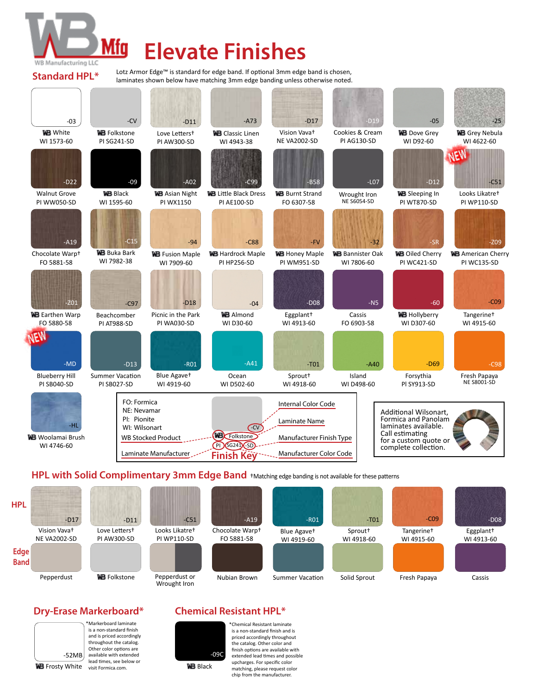

**Standard HPL\*** 

## **Elevate Finishes**

Lotz Armor Edge™ is standard for edge band. If optional 3mm edge band is chosen, laminates shown below have matching 3mm edge banding unless otherwise noted.



**HPL with Solid Complimentary 3mm Edge Band** †Matching edge banding is not available for these patterns



### **Dry-Erase Markerboard\***



is a non-standard finish and is priced accordingly throughout the catalog. Other color options are available with extended lead times, see below or visit Formica.com.

\*Markerboard laminate

#### **Chemical Resistant HPL\***



\*Chemical Resistant laminate is a non-standard finish and is priced accordingly throughout the catalog. Other color and finish options are available with extended lead times and possible upcharges. For specific color matching, please request color chip from the manufacturer.